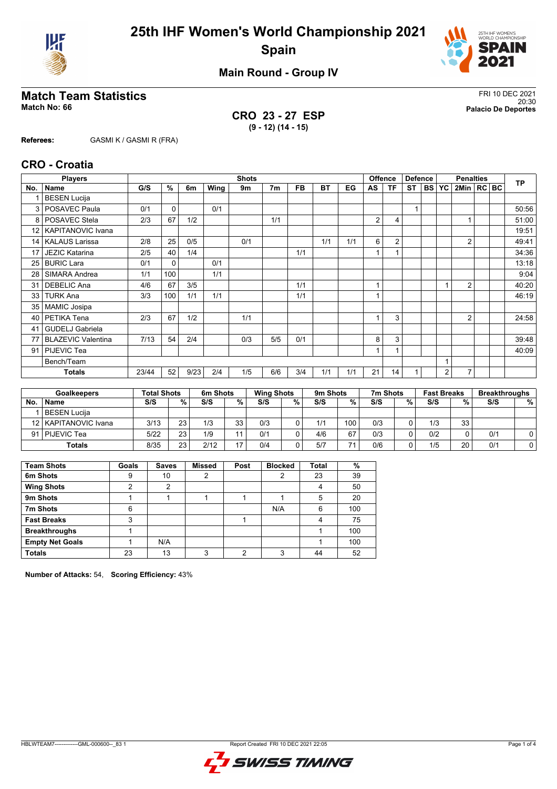



**Main Round - Group IV**

# **Match Team Statistics** FRI 10 DEC 2021

**CRO 23 - 27 ESP (9 - 12) (14 - 15)**

20:30 **Match No: 66 Palacio De Deportes**

**Referees:** GASMI K / GASMI R (FRA)

#### **CRO - Croatia**

|                 | <b>Players</b>            |       |          |      |      | <b>Shots</b> |     |           |           |     |                | <b>Offence</b> | <b>Defence</b> |        |                | <b>Penalties</b> |  | <b>TP</b> |
|-----------------|---------------------------|-------|----------|------|------|--------------|-----|-----------|-----------|-----|----------------|----------------|----------------|--------|----------------|------------------|--|-----------|
| No.             | <b>Name</b>               | G/S   | %        | 6m   | Wing | 9m           | 7m  | <b>FB</b> | <b>BT</b> | EG  | AS             | ΤF             | ST.            | I BS I | <b>YC</b>      | 2Min   RC BC     |  |           |
|                 | <b>BESEN Lucija</b>       |       |          |      |      |              |     |           |           |     |                |                |                |        |                |                  |  |           |
| 3               | POSAVEC Paula             | 0/1   | 0        |      | 0/1  |              |     |           |           |     |                |                | 1              |        |                |                  |  | 50:56     |
| 8               | POSAVEC Stela             | 2/3   | 67       | 1/2  |      |              | 1/1 |           |           |     | $\overline{2}$ | 4              |                |        |                |                  |  | 51:00     |
| 12 <sup>2</sup> | <b>KAPITANOVIC Ivana</b>  |       |          |      |      |              |     |           |           |     |                |                |                |        |                |                  |  | 19:51     |
| 14 <sup>1</sup> | <b>KALAUS Larissa</b>     | 2/8   | 25       | 0/5  |      | 0/1          |     |           | 1/1       | 1/1 | 6              | 2              |                |        |                | $\overline{2}$   |  | 49:41     |
| 17              | <b>JEZIC Katarina</b>     | 2/5   | 40       | 1/4  |      |              |     | 1/1       |           |     | $\mathbf{1}$   |                |                |        |                |                  |  | 34:36     |
| 25              | <b>BURIC Lara</b>         | 0/1   | $\Omega$ |      | 0/1  |              |     |           |           |     |                |                |                |        |                |                  |  | 13:18     |
| 28              | SIMARA Andrea             | 1/1   | 100      |      | 1/1  |              |     |           |           |     |                |                |                |        |                |                  |  | 9:04      |
| 31              | <b>DEBELIC Ana</b>        | 4/6   | 67       | 3/5  |      |              |     | 1/1       |           |     | 1              |                |                |        |                | 2                |  | 40:20     |
| 33              | <b>TURK Ana</b>           | 3/3   | 100      | 1/1  | 1/1  |              |     | 1/1       |           |     |                |                |                |        |                |                  |  | 46:19     |
| 35              | <b>MAMIC Josipa</b>       |       |          |      |      |              |     |           |           |     |                |                |                |        |                |                  |  |           |
| 40              | PETIKA Tena               | 2/3   | 67       | 1/2  |      | 1/1          |     |           |           |     |                | 3              |                |        |                | $\overline{2}$   |  | 24:58     |
| 41              | <b>GUDELJ Gabriela</b>    |       |          |      |      |              |     |           |           |     |                |                |                |        |                |                  |  |           |
| 77              | <b>BLAZEVIC Valentina</b> | 7/13  | 54       | 2/4  |      | 0/3          | 5/5 | 0/1       |           |     | 8              | 3              |                |        |                |                  |  | 39:48     |
| 91              | PIJEVIC Tea               |       |          |      |      |              |     |           |           |     |                |                |                |        |                |                  |  | 40:09     |
|                 | Bench/Team                |       |          |      |      |              |     |           |           |     |                |                |                |        |                |                  |  |           |
|                 | <b>Totals</b>             | 23/44 | 52       | 9/23 | 2/4  | 1/5          | 6/6 | 3/4       | 1/1       | 1/1 | 21             | 14             |                |        | $\overline{2}$ | $\overline{7}$   |  |           |
|                 |                           |       |          |      |      |              |     |           |           |     |                |                |                |        |                |                  |  |           |

|    | <b>Goalkeepers</b>     | <b>Total Shots</b> |    | 6m Shots |    | <b>Wing Shots</b> |   | 9m Shots |     | 7m Shots |   | <b>Fast Breaks</b> |    | <b>Breakthroughs</b> |   |
|----|------------------------|--------------------|----|----------|----|-------------------|---|----------|-----|----------|---|--------------------|----|----------------------|---|
| No | <b>Name</b>            | S/S                | %  | S/S      | %. | S/S               | % | S/S      | %   | S/S      | % | S/S                | %  | S/S                  | % |
|    | BESEN Lucija           |                    |    |          |    |                   |   |          |     |          |   |                    |    |                      |   |
|    | 12   KAPITANOVIC Ivana | 3/13               | 23 | 1/3      | 33 | 0/3               |   | 1/1      | 100 | 0/3      |   | 1/3                | 33 |                      |   |
|    | 91   PIJEVIC Tea       | 5/22               | 23 | 1/9      |    | 0/1               |   | 4/6      | 67  | 0/3      |   | 0/2                |    | 0/1                  | 0 |
|    | Totals                 | 8/35               | 23 | 2/12     | 17 | 0/4               |   | 5/7      | 74  | 0/6      |   | 1/5                | 20 | 0/1                  |   |

| <b>Team Shots</b>      | Goals | <b>Saves</b> | <b>Missed</b> | Post | <b>Blocked</b> | <b>Total</b> | %   |
|------------------------|-------|--------------|---------------|------|----------------|--------------|-----|
| 6m Shots               | 9     | 10           | 2             |      | 2              | 23           | 39  |
| <b>Wing Shots</b>      | 2     | 2            |               |      |                | 4            | 50  |
| 9m Shots               |       |              |               |      |                | 5            | 20  |
| 7m Shots               | 6     |              |               |      | N/A            | 6            | 100 |
| <b>Fast Breaks</b>     | 3     |              |               |      |                | 4            | 75  |
| <b>Breakthroughs</b>   |       |              |               |      |                |              | 100 |
| <b>Empty Net Goals</b> |       | N/A          |               |      |                |              | 100 |
| <b>Totals</b>          | 23    | 13           | 3             | ◠    | ົ              | 44           | 52  |

**Number of Attacks:** 54, **Scoring Efficiency:** 43%

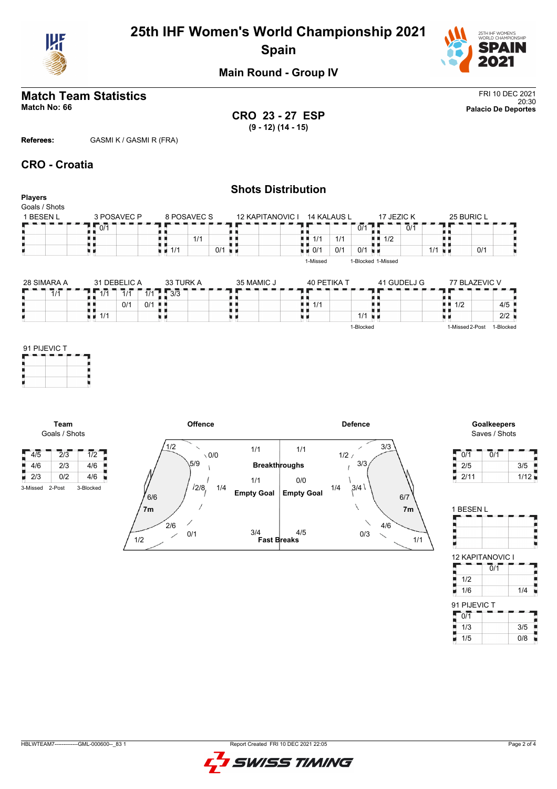



**Main Round - Group IV**

## **Match Team Statistics** FRI 10 DEC 2021

20:30 **Match No: 66 Palacio De Deportes CRO 23 - 27 ESP (9 - 12) (14 - 15)**

**Referees:** GASMI K / GASMI R (FRA)

#### **CRO - Croatia**

**Team** Goals / Shots

 $4/5$  2/3  $1/2$ 

| <b>Players</b>             |                                   |                             |         |                                   |             |                      | <b>Shots Distribution</b>    |            |               |             |                      |                    |                             |                      |                                     |     |           |
|----------------------------|-----------------------------------|-----------------------------|---------|-----------------------------------|-------------|----------------------|------------------------------|------------|---------------|-------------|----------------------|--------------------|-----------------------------|----------------------|-------------------------------------|-----|-----------|
| Goals / Shots<br>1 BESEN L |                                   | 3 POSAVEC P                 |         |                                   | 8 POSAVEC S |                      | 12 KAPITANOVIC I 14 KALAUS L |            |               |             |                      | 17 JEZIC K         |                             |                      | 25 BURIC L                          |     |           |
|                            | 0/1                               |                             |         |                                   |             |                      |                              |            |               |             | $0/1$ .              |                    | $\overline{0}/\overline{1}$ |                      |                                     |     |           |
|                            |                                   |                             |         |                                   | 1/1         |                      |                              | н н<br>u n | 1/1           | 1/1         |                      | 1/2<br>ш           |                             |                      |                                     |     |           |
|                            | u p                               |                             |         | $\blacksquare$ 1/1                |             | $0/1$ $\blacksquare$ |                              |            | $\bullet$ 0/1 | 0/1         | $0/1$ $\blacksquare$ |                    |                             | $1/1$ $\blacksquare$ |                                     | 0/1 |           |
|                            |                                   |                             |         |                                   |             |                      |                              |            | 1-Missed      |             |                      | 1-Blocked 1-Missed |                             |                      |                                     |     |           |
| 28 SIMARA A                |                                   | 31 DEBELIC A                |         | 33 TURK A                         |             |                      | 35 MAMIC J                   |            |               | 40 PETIKA T |                      |                    | 41 GUDELJ G                 |                      | 77 BLAZEVIC V                       |     |           |
| $\overline{1/1}$           | $\overline{1/1}$                  | $\overline{1}/\overline{1}$ |         | $1/1$ $\frac{1}{4}$ $\frac{3}{3}$ |             |                      |                              |            |               |             |                      |                    |                             |                      |                                     |     |           |
|                            | 6 F                               | 0/1                         | $0/1$ . |                                   |             |                      |                              | . .<br>. . | 1/1           |             |                      | I I                |                             |                      | $\blacksquare$ $\blacksquare$ $1/2$ |     | 4/5       |
|                            | $\blacksquare$ $\blacksquare$ 1/1 |                             |         |                                   |             |                      | υи                           | 加 前        |               |             | $1/1$ u m            |                    |                             |                      |                                     |     | 2/2       |
|                            |                                   |                             |         |                                   |             |                      |                              |            |               |             | 1-Blocked            |                    |                             |                      | 1-Missed 2-Post                     |     | 1-Blocked |
| 91 PIJEVIC T               |                                   |                             |         |                                   |             |                      |                              |            |               |             |                      |                    |                             |                      |                                     |     |           |



Saves / Shots

| 0/1  | 0/1 |      |
|------|-----|------|
| 2/5  |     | 3/5  |
| 2/11 |     | 1/12 |

| 1 BESEN L    |                             |          |
|--------------|-----------------------------|----------|
|              | <b>12 KAPITANOVIC I</b>     |          |
|              | $\overline{0}/\overline{1}$ |          |
| 1/2          |                             | Ę        |
| 1/6          |                             | Į<br>1/4 |
| 91 PIJEVIC T |                             |          |
| 0/1          |                             |          |
| 1/3          |                             | 3/5      |



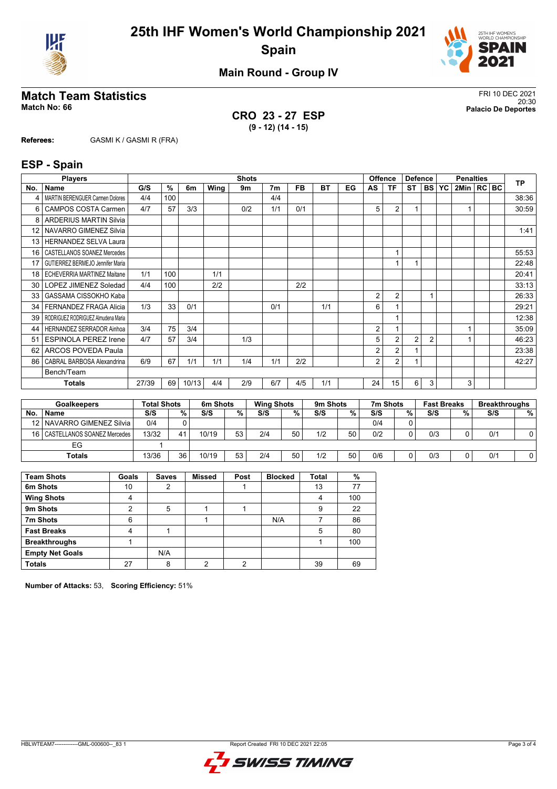



**Main Round - Group IV**

# **Match Team Statistics** FRI 10 DEC 2021

**CRO 23 - 27 ESP (9 - 12) (14 - 15)**

20:30 **Match No: 66 Palacio De Deportes**

**Referees:** GASMI K / GASMI R (FRA)

#### **ESP - Spain**

|                 | <b>Players</b>                         |       | <b>Shots</b> |       |      |     |                |           |     |    | <b>Offence</b> | <b>Defence</b> |                | <b>Penalties</b> |    |                |  | <b>TP</b> |       |
|-----------------|----------------------------------------|-------|--------------|-------|------|-----|----------------|-----------|-----|----|----------------|----------------|----------------|------------------|----|----------------|--|-----------|-------|
| No.             | <b>Name</b>                            | G/S   | $\%$         | 6m    | Wing | 9m  | 7 <sub>m</sub> | <b>FB</b> | BT  | EG | AS             | ΤF             | <b>ST</b>      | <b>BS</b>        | YC | 2Min   RC   BC |  |           |       |
|                 | <b>MARTIN BERENGUER Carmen Dolores</b> | 4/4   | 100          |       |      |     | 4/4            |           |     |    |                |                |                |                  |    |                |  |           | 38:36 |
| 6               | CAMPOS COSTA Carmen                    | 4/7   | 57           | 3/3   |      | 0/2 | 1/1            | 0/1       |     |    | 5              | $\overline{2}$ |                |                  |    |                |  |           | 30:59 |
| 8               | <b>ARDERIUS MARTIN Silvia</b>          |       |              |       |      |     |                |           |     |    |                |                |                |                  |    |                |  |           |       |
| 12              | <b>NAVARRO GIMENEZ Silvia</b>          |       |              |       |      |     |                |           |     |    |                |                |                |                  |    |                |  |           | 1:41  |
| 13              | <b>HERNANDEZ SELVA Laura</b>           |       |              |       |      |     |                |           |     |    |                |                |                |                  |    |                |  |           |       |
| 16              | CASTELLANOS SOANEZ Mercedes            |       |              |       |      |     |                |           |     |    |                |                |                |                  |    |                |  |           | 55:53 |
| 17              | GUTIERREZ BERMEJO Jennifer Maria       |       |              |       |      |     |                |           |     |    |                |                |                |                  |    |                |  |           | 22:48 |
| 18              | <b>ECHEVERRIA MARTINEZ Maitane</b>     | 1/1   | 100          |       | 1/1  |     |                |           |     |    |                |                |                |                  |    |                |  |           | 20:41 |
| 30 <sub>1</sub> | LOPEZ JIMENEZ Soledad                  | 4/4   | 100          |       | 2/2  |     |                | 2/2       |     |    |                |                |                |                  |    |                |  |           | 33:13 |
| 33              | GASSAMA CISSOKHO Kaba                  |       |              |       |      |     |                |           |     |    | 2              | $\overline{2}$ |                |                  |    |                |  |           | 26:33 |
| 34              | <b>FERNANDEZ FRAGA Alicia</b>          | 1/3   | 33           | 0/1   |      |     | 0/1            |           | 1/1 |    | 6              |                |                |                  |    |                |  |           | 29:21 |
| 39              | RODRIGUEZ RODRIGUEZ Almudena Maria     |       |              |       |      |     |                |           |     |    |                |                |                |                  |    |                |  |           | 12:38 |
| 44              | <b>HERNANDEZ SERRADOR Ainhoa</b>       | 3/4   | 75           | 3/4   |      |     |                |           |     |    | 2              |                |                |                  |    |                |  |           | 35:09 |
| 51              | <b>ESPINOLA PEREZ Irene</b>            | 4/7   | 57           | 3/4   |      | 1/3 |                |           |     |    | 5              | $\overline{2}$ | $\overline{2}$ | $\overline{2}$   |    |                |  |           | 46:23 |
| 62              | ARCOS POVEDA Paula                     |       |              |       |      |     |                |           |     |    | 2              | $\overline{2}$ |                |                  |    |                |  |           | 23:38 |
| 86              | CABRAL BARBOSA Alexandrina             | 6/9   | 67           | 1/1   | 1/1  | 1/4 | 1/1            | 2/2       |     |    | 2              | $\overline{2}$ | $\overline{ }$ |                  |    |                |  |           | 42:27 |
|                 | Bench/Team                             |       |              |       |      |     |                |           |     |    |                |                |                |                  |    |                |  |           |       |
|                 | <b>Totals</b>                          | 27/39 | 69           | 10/13 | 4/4  | 2/9 | 6/7            | 4/5       | 1/1 |    | 24             | 15             | 6              | 3                |    | 3              |  |           |       |

|    | <b>Goalkeepers</b>               | <b>Total Shots</b> |    | 6m Shots |    | <b>Wing Shots</b> |    | 9m Shots |    | 7m Shots |   | <b>Fast Breaks</b> |   | <b>Breakthroughs</b> |   |
|----|----------------------------------|--------------------|----|----------|----|-------------------|----|----------|----|----------|---|--------------------|---|----------------------|---|
| No | <b>Name</b>                      | S/S                | %. | S/S      | %  | S/S               | %  | S/S      | %  | S/S      | % | S/S                | % | S/S                  | % |
|    | 12   NAVARRO GIMENEZ Silvia      | 0/4                |    |          |    |                   |    |          |    | 0/4      |   |                    |   |                      |   |
|    | 16   CASTELLANOS SOANEZ Mercedes | 13/32              |    | 10/19    | 53 | 2/4               | 50 | 1/2      | 50 | 0/2      | 0 | 0/3                |   | 0/1                  |   |
|    | EG                               |                    |    |          |    |                   |    |          |    |          |   |                    |   |                      |   |
|    | Totals                           | 13/36              | 36 | 10/19    | 53 | 2/4               | 50 | 1/2      | 50 | 0/6      | 0 | 0/3                |   | 0/1                  |   |

| <b>Team Shots</b>      | Goals | <b>Saves</b> | <b>Missed</b> | Post | <b>Blocked</b> | <b>Total</b> | %   |
|------------------------|-------|--------------|---------------|------|----------------|--------------|-----|
| 6m Shots               | 10    | っ            |               |      |                | 13           | 77  |
| <b>Wing Shots</b>      | 4     |              |               |      |                | 4            | 100 |
| 9m Shots               | າ     | 5            |               |      |                | 9            | 22  |
| 7m Shots               | 6     |              |               |      | N/A            |              | 86  |
| <b>Fast Breaks</b>     | 4     |              |               |      |                | 5            | 80  |
| <b>Breakthroughs</b>   |       |              |               |      |                |              | 100 |
| <b>Empty Net Goals</b> |       | N/A          |               |      |                |              |     |
| <b>Totals</b>          | 27    | 8            | ◠             | ົ    |                | 39           | 69  |

**Number of Attacks:** 53, **Scoring Efficiency:** 51%